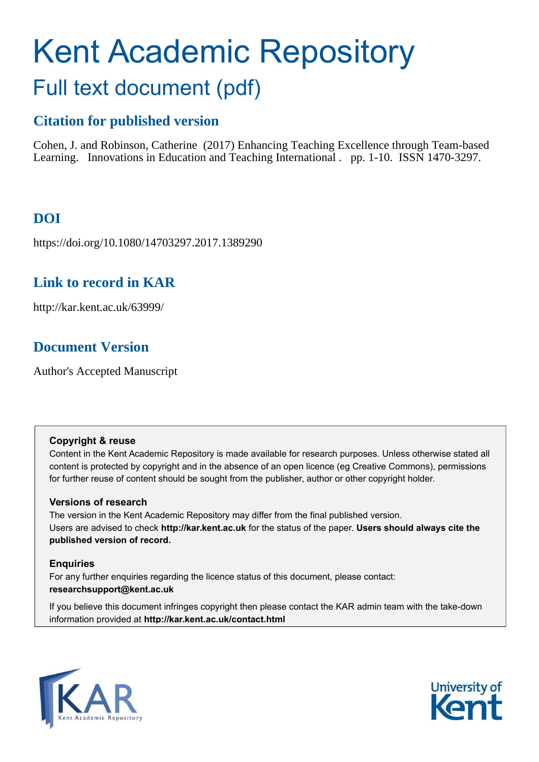# Kent Academic Repository Full text document (pdf)

## **Citation for published version**

Cohen, J. and Robinson, Catherine (2017) Enhancing Teaching Excellence through Team-based Learning. Innovations in Education and Teaching International . pp. 1-10. ISSN 1470-3297.

# **DOI**

https://doi.org/10.1080/14703297.2017.1389290

## **Link to record in KAR**

http://kar.kent.ac.uk/63999/

# **Document Version**

Author's Accepted Manuscript

## **Copyright & reuse**

Content in the Kent Academic Repository is made available for research purposes. Unless otherwise stated all content is protected by copyright and in the absence of an open licence (eg Creative Commons), permissions for further reuse of content should be sought from the publisher, author or other copyright holder.

## **Versions of research**

The version in the Kent Academic Repository may differ from the final published version. Users are advised to check **http://kar.kent.ac.uk** for the status of the paper. **Users should always cite the published version of record.**

## **Enquiries**

For any further enquiries regarding the licence status of this document, please contact: **researchsupport@kent.ac.uk**

If you believe this document infringes copyright then please contact the KAR admin team with the take-down information provided at **http://kar.kent.ac.uk/contact.html**



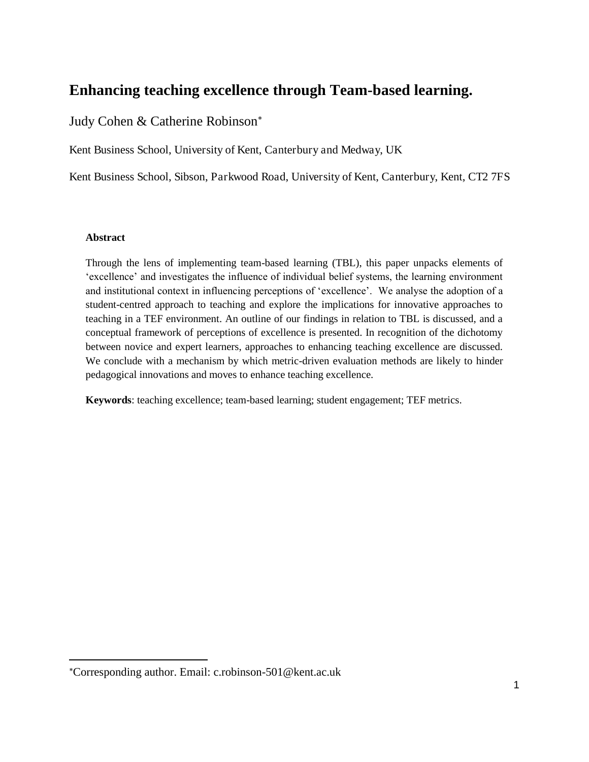## **Enhancing teaching excellence through Team-based learning.**

Judy Cohen & Catherine Robinson

Kent Business School, University of Kent, Canterbury and Medway, UK

Kent Business School, Sibson, Parkwood Road, University of Kent, Canterbury, Kent, CT2 7FS

#### **Abstract**

 $\overline{a}$ 

Through the lens of implementing team-based learning (TBL), this paper unpacks elements of 'excellence' and investigates the influence of individual belief systems, the learning environment and institutional context in influencing perceptions of 'excellence'. We analyse the adoption of a student-centred approach to teaching and explore the implications for innovative approaches to teaching in a TEF environment. An outline of our findings in relation to TBL is discussed, and a conceptual framework of perceptions of excellence is presented. In recognition of the dichotomy between novice and expert learners, approaches to enhancing teaching excellence are discussed. We conclude with a mechanism by which metric-driven evaluation methods are likely to hinder pedagogical innovations and moves to enhance teaching excellence.

**Keywords**: teaching excellence; team-based learning; student engagement; TEF metrics.

Corresponding author. Email: c.robinson-501@kent.ac.uk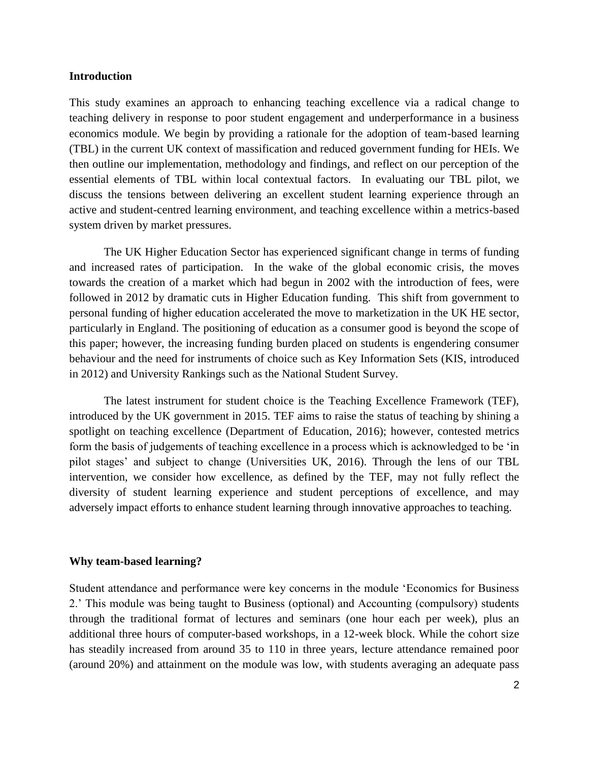#### **Introduction**

This study examines an approach to enhancing teaching excellence via a radical change to teaching delivery in response to poor student engagement and underperformance in a business economics module. We begin by providing a rationale for the adoption of team-based learning (TBL) in the current UK context of massification and reduced government funding for HEIs. We then outline our implementation, methodology and findings, and reflect on our perception of the essential elements of TBL within local contextual factors. In evaluating our TBL pilot, we discuss the tensions between delivering an excellent student learning experience through an active and student-centred learning environment, and teaching excellence within a metrics-based system driven by market pressures.

 The UK Higher Education Sector has experienced significant change in terms of funding and increased rates of participation. In the wake of the global economic crisis, the moves towards the creation of a market which had begun in 2002 with the introduction of fees, were followed in 2012 by dramatic cuts in Higher Education funding. This shift from government to personal funding of higher education accelerated the move to marketization in the UK HE sector, particularly in England. The positioning of education as a consumer good is beyond the scope of this paper; however, the increasing funding burden placed on students is engendering consumer behaviour and the need for instruments of choice such as Key Information Sets (KIS, introduced in 2012) and University Rankings such as the National Student Survey.

 The latest instrument for student choice is the Teaching Excellence Framework (TEF), introduced by the UK government in 2015. TEF aims to raise the status of teaching by shining a spotlight on teaching excellence (Department of Education, 2016); however, contested metrics form the basis of judgements of teaching excellence in a process which is acknowledged to be 'in pilot stages' and subject to change (Universities UK, 2016). Through the lens of our TBL intervention, we consider how excellence, as defined by the TEF, may not fully reflect the diversity of student learning experience and student perceptions of excellence, and may adversely impact efforts to enhance student learning through innovative approaches to teaching.

#### **Why team-based learning?**

Student attendance and performance were key concerns in the module 'Economics for Business 2.' This module was being taught to Business (optional) and Accounting (compulsory) students through the traditional format of lectures and seminars (one hour each per week), plus an additional three hours of computer-based workshops, in a 12-week block. While the cohort size has steadily increased from around 35 to 110 in three years, lecture attendance remained poor (around 20%) and attainment on the module was low, with students averaging an adequate pass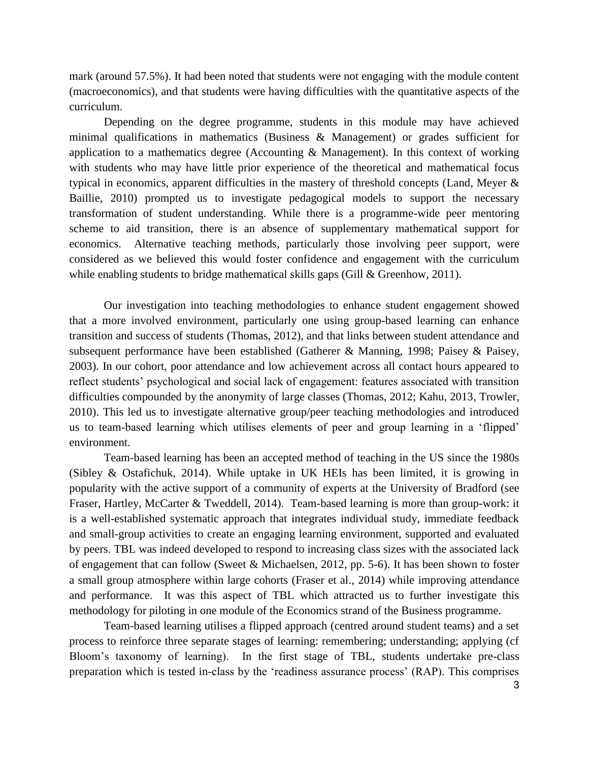mark (around 57.5%). It had been noted that students were not engaging with the module content (macroeconomics), and that students were having difficulties with the quantitative aspects of the curriculum.

 Depending on the degree programme, students in this module may have achieved minimal qualifications in mathematics (Business & Management) or grades sufficient for application to a mathematics degree (Accounting & Management). In this context of working with students who may have little prior experience of the theoretical and mathematical focus typical in economics, apparent difficulties in the mastery of threshold concepts (Land, Meyer & Baillie, 2010) prompted us to investigate pedagogical models to support the necessary transformation of student understanding. While there is a programme-wide peer mentoring scheme to aid transition, there is an absence of supplementary mathematical support for economics. Alternative teaching methods, particularly those involving peer support, were considered as we believed this would foster confidence and engagement with the curriculum while enabling students to bridge mathematical skills gaps (Gill & Greenhow, 2011).

 Our investigation into teaching methodologies to enhance student engagement showed that a more involved environment, particularly one using group-based learning can enhance transition and success of students (Thomas, 2012), and that links between student attendance and subsequent performance have been established (Gatherer & Manning, 1998; Paisey & Paisey, 2003). In our cohort, poor attendance and low achievement across all contact hours appeared to reflect students' psychological and social lack of engagement: features associated with transition difficulties compounded by the anonymity of large classes (Thomas, 2012; Kahu, 2013, Trowler, 2010). This led us to investigate alternative group/peer teaching methodologies and introduced us to team-based learning which utilises elements of peer and group learning in a 'flipped' environment.

 Team-based learning has been an accepted method of teaching in the US since the 1980s (Sibley & Ostafichuk, 2014). While uptake in UK HEIs has been limited, it is growing in popularity with the active support of a community of experts at the University of Bradford (see Fraser, Hartley, McCarter & Tweddell, 2014). Team-based learning is more than group-work: it is a well-established systematic approach that integrates individual study, immediate feedback and small-group activities to create an engaging learning environment, supported and evaluated by peers. TBL was indeed developed to respond to increasing class sizes with the associated lack of engagement that can follow (Sweet & Michaelsen, 2012, pp. 5-6). It has been shown to foster a small group atmosphere within large cohorts (Fraser et al., 2014) while improving attendance and performance. It was this aspect of TBL which attracted us to further investigate this methodology for piloting in one module of the Economics strand of the Business programme.

 Team-based learning utilises a flipped approach (centred around student teams) and a set process to reinforce three separate stages of learning: remembering; understanding; applying (cf Bloom's taxonomy of learning). In the first stage of TBL, students undertake pre-class preparation which is tested in-class by the 'readiness assurance process' (RAP). This comprises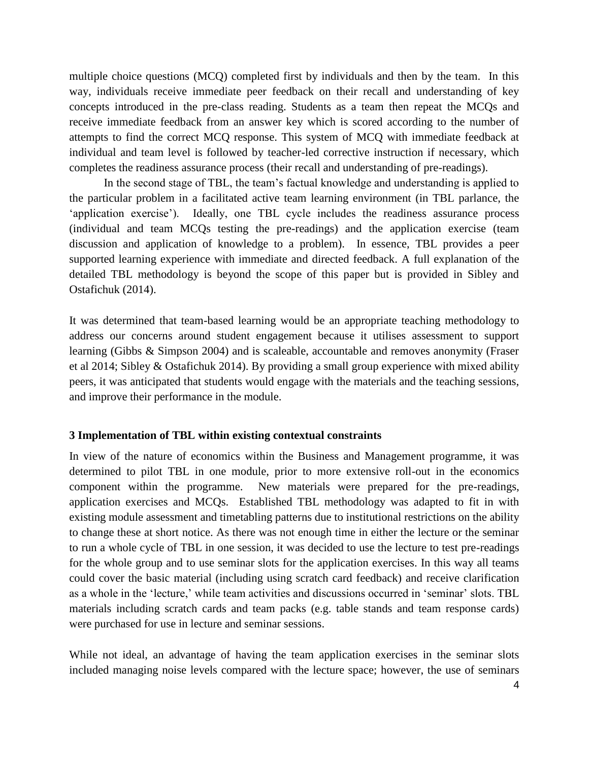multiple choice questions (MCQ) completed first by individuals and then by the team. In this way, individuals receive immediate peer feedback on their recall and understanding of key concepts introduced in the pre-class reading. Students as a team then repeat the MCQs and receive immediate feedback from an answer key which is scored according to the number of attempts to find the correct MCQ response. This system of MCQ with immediate feedback at individual and team level is followed by teacher-led corrective instruction if necessary, which completes the readiness assurance process (their recall and understanding of pre-readings).

In the second stage of TBL, the team's factual knowledge and understanding is applied to the particular problem in a facilitated active team learning environment (in TBL parlance, the 'application exercise'). Ideally, one TBL cycle includes the readiness assurance process (individual and team MCQs testing the pre-readings) and the application exercise (team discussion and application of knowledge to a problem). In essence, TBL provides a peer supported learning experience with immediate and directed feedback. A full explanation of the detailed TBL methodology is beyond the scope of this paper but is provided in Sibley and Ostafichuk (2014).

It was determined that team-based learning would be an appropriate teaching methodology to address our concerns around student engagement because it utilises assessment to support learning (Gibbs & Simpson 2004) and is scaleable, accountable and removes anonymity (Fraser et al 2014; Sibley & Ostafichuk 2014). By providing a small group experience with mixed ability peers, it was anticipated that students would engage with the materials and the teaching sessions, and improve their performance in the module.

#### **3 Implementation of TBL within existing contextual constraints**

In view of the nature of economics within the Business and Management programme, it was determined to pilot TBL in one module, prior to more extensive roll-out in the economics component within the programme. New materials were prepared for the pre-readings, application exercises and MCQs. Established TBL methodology was adapted to fit in with existing module assessment and timetabling patterns due to institutional restrictions on the ability to change these at short notice. As there was not enough time in either the lecture or the seminar to run a whole cycle of TBL in one session, it was decided to use the lecture to test pre-readings for the whole group and to use seminar slots for the application exercises. In this way all teams could cover the basic material (including using scratch card feedback) and receive clarification as a whole in the 'lecture,' while team activities and discussions occurred in 'seminar' slots. TBL materials including scratch cards and team packs (e.g. table stands and team response cards) were purchased for use in lecture and seminar sessions.

While not ideal, an advantage of having the team application exercises in the seminar slots included managing noise levels compared with the lecture space; however, the use of seminars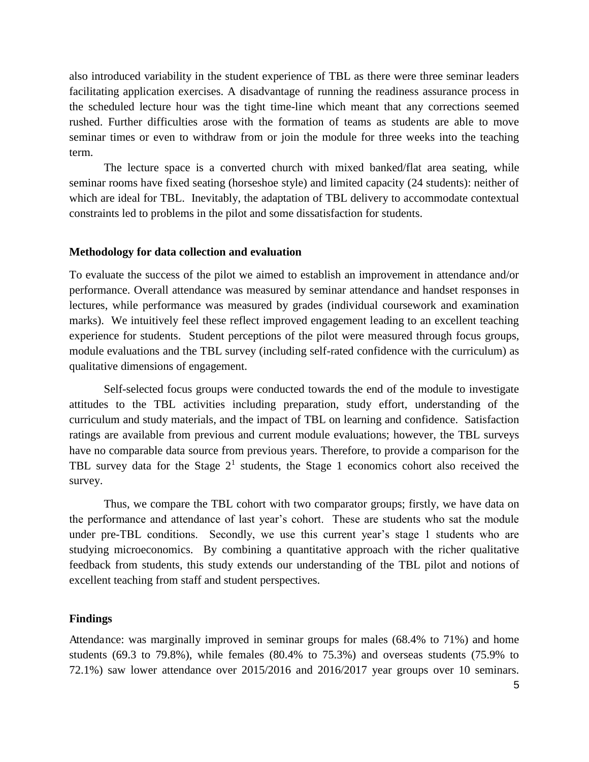also introduced variability in the student experience of TBL as there were three seminar leaders facilitating application exercises. A disadvantage of running the readiness assurance process in the scheduled lecture hour was the tight time-line which meant that any corrections seemed rushed. Further difficulties arose with the formation of teams as students are able to move seminar times or even to withdraw from or join the module for three weeks into the teaching term.

 The lecture space is a converted church with mixed banked/flat area seating, while seminar rooms have fixed seating (horseshoe style) and limited capacity (24 students): neither of which are ideal for TBL. Inevitably, the adaptation of TBL delivery to accommodate contextual constraints led to problems in the pilot and some dissatisfaction for students.

#### **Methodology for data collection and evaluation**

To evaluate the success of the pilot we aimed to establish an improvement in attendance and/or performance. Overall attendance was measured by seminar attendance and handset responses in lectures, while performance was measured by grades (individual coursework and examination marks). We intuitively feel these reflect improved engagement leading to an excellent teaching experience for students. Student perceptions of the pilot were measured through focus groups, module evaluations and the TBL survey (including self-rated confidence with the curriculum) as qualitative dimensions of engagement.

 Self-selected focus groups were conducted towards the end of the module to investigate attitudes to the TBL activities including preparation, study effort, understanding of the curriculum and study materials, and the impact of TBL on learning and confidence. Satisfaction ratings are available from previous and current module evaluations; however, the TBL surveys have no comparable data source from previous years. Therefore, to provide a comparison for the TBL survey data for the Stage  $2<sup>1</sup>$  students, the Stage 1 economics cohort also received the survey.

 Thus, we compare the TBL cohort with two comparator groups; firstly, we have data on the performance and attendance of last year's cohort. These are students who sat the module under pre-TBL conditions. Secondly, we use this current year's stage 1 students who are studying microeconomics. By combining a quantitative approach with the richer qualitative feedback from students, this study extends our understanding of the TBL pilot and notions of excellent teaching from staff and student perspectives.

#### **Findings**

Attendance: was marginally improved in seminar groups for males (68.4% to 71%) and home students (69.3 to 79.8%), while females (80.4% to 75.3%) and overseas students (75.9% to 72.1%) saw lower attendance over 2015/2016 and 2016/2017 year groups over 10 seminars.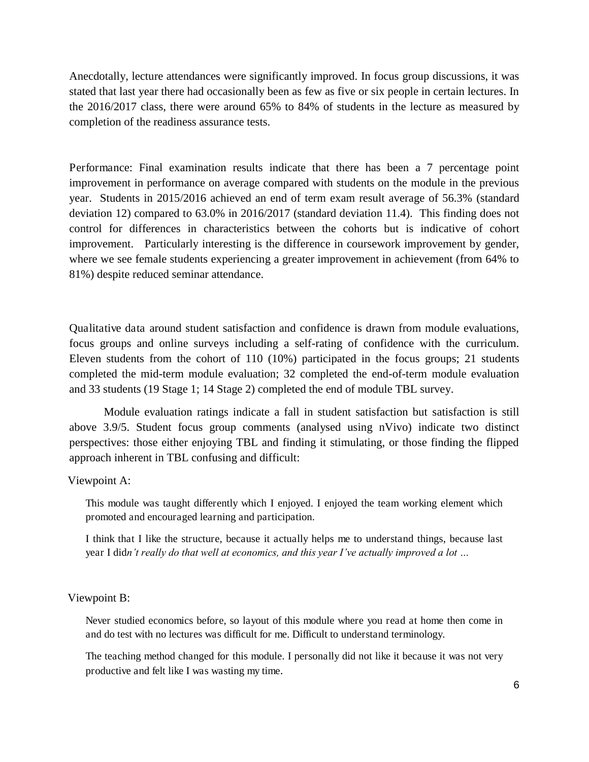Anecdotally, lecture attendances were significantly improved. In focus group discussions, it was stated that last year there had occasionally been as few as five or six people in certain lectures. In the 2016/2017 class, there were around 65% to 84% of students in the lecture as measured by completion of the readiness assurance tests.

Performance: Final examination results indicate that there has been a 7 percentage point improvement in performance on average compared with students on the module in the previous year. Students in 2015/2016 achieved an end of term exam result average of 56.3% (standard deviation 12) compared to 63.0% in 2016/2017 (standard deviation 11.4). This finding does not control for differences in characteristics between the cohorts but is indicative of cohort improvement. Particularly interesting is the difference in coursework improvement by gender, where we see female students experiencing a greater improvement in achievement (from 64% to 81%) despite reduced seminar attendance.

Qualitative data around student satisfaction and confidence is drawn from module evaluations, focus groups and online surveys including a self-rating of confidence with the curriculum. Eleven students from the cohort of 110 (10%) participated in the focus groups; 21 students completed the mid-term module evaluation; 32 completed the end-of-term module evaluation and 33 students (19 Stage 1; 14 Stage 2) completed the end of module TBL survey.

 Module evaluation ratings indicate a fall in student satisfaction but satisfaction is still above 3.9/5. Student focus group comments (analysed using nVivo) indicate two distinct perspectives: those either enjoying TBL and finding it stimulating, or those finding the flipped approach inherent in TBL confusing and difficult:

#### Viewpoint A:

This module was taught differently which I enjoyed. I enjoyed the team working element which promoted and encouraged learning and participation.

I think that I like the structure, because it actually helps me to understand things, because last year I did*n't really do that well at economics, and this year I've actually improved a lot …* 

#### Viewpoint B:

Never studied economics before, so layout of this module where you read at home then come in and do test with no lectures was difficult for me. Difficult to understand terminology.

The teaching method changed for this module. I personally did not like it because it was not very productive and felt like I was wasting my time.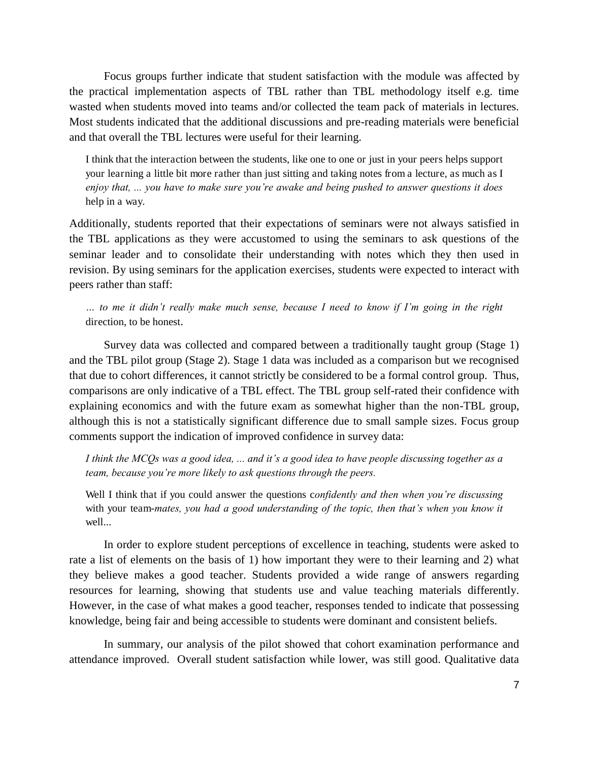Focus groups further indicate that student satisfaction with the module was affected by the practical implementation aspects of TBL rather than TBL methodology itself e.g. time wasted when students moved into teams and/or collected the team pack of materials in lectures. Most students indicated that the additional discussions and pre-reading materials were beneficial and that overall the TBL lectures were useful for their learning.

I think that the interaction between the students, like one to one or just in your peers helps support your learning a little bit more rather than just sitting and taking notes from a lecture, as much as I *enjoy that, ... you have to make sure you're awake and being pushed to answer questions it does*  help in a way.

Additionally, students reported that their expectations of seminars were not always satisfied in the TBL applications as they were accustomed to using the seminars to ask questions of the seminar leader and to consolidate their understanding with notes which they then used in revision. By using seminars for the application exercises, students were expected to interact with peers rather than staff:

*… to me it didn't really make much sense, because I need to know if I'm going in the right*  direction, to be honest.

 Survey data was collected and compared between a traditionally taught group (Stage 1) and the TBL pilot group (Stage 2). Stage 1 data was included as a comparison but we recognised that due to cohort differences, it cannot strictly be considered to be a formal control group. Thus, comparisons are only indicative of a TBL effect. The TBL group self-rated their confidence with explaining economics and with the future exam as somewhat higher than the non-TBL group, although this is not a statistically significant difference due to small sample sizes. Focus group comments support the indication of improved confidence in survey data:

*I think the MCQs was a good idea, ... and it's a good idea to have people discussing together as a team, because you're more likely to ask questions through the peers.* 

Well I think that if you could answer the questions c*onfidently and then when you're discussing*  with your team-*mates, you had a good understanding of the topic, then that's when you know it*  well...

 In order to explore student perceptions of excellence in teaching, students were asked to rate a list of elements on the basis of 1) how important they were to their learning and 2) what they believe makes a good teacher. Students provided a wide range of answers regarding resources for learning, showing that students use and value teaching materials differently. However, in the case of what makes a good teacher, responses tended to indicate that possessing knowledge, being fair and being accessible to students were dominant and consistent beliefs.

 In summary, our analysis of the pilot showed that cohort examination performance and attendance improved. Overall student satisfaction while lower, was still good. Qualitative data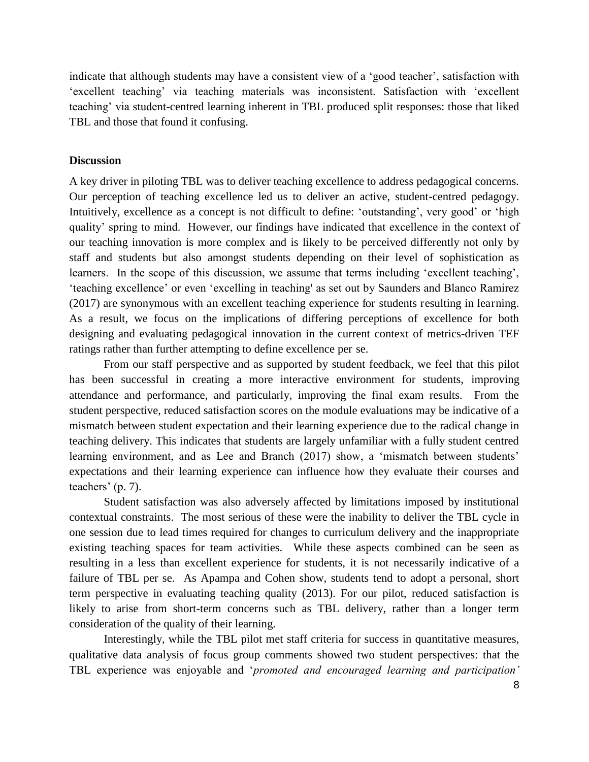indicate that although students may have a consistent view of a 'good teacher', satisfaction with 'excellent teaching' via teaching materials was inconsistent. Satisfaction with 'excellent teaching' via student-centred learning inherent in TBL produced split responses: those that liked TBL and those that found it confusing.

#### **Discussion**

A key driver in piloting TBL was to deliver teaching excellence to address pedagogical concerns. Our perception of teaching excellence led us to deliver an active, student-centred pedagogy. Intuitively, excellence as a concept is not difficult to define: 'outstanding', very good' or 'high quality' spring to mind. However, our findings have indicated that excellence in the context of our teaching innovation is more complex and is likely to be perceived differently not only by staff and students but also amongst students depending on their level of sophistication as learners. In the scope of this discussion, we assume that terms including 'excellent teaching', 'teaching excellence' or even 'excelling in teaching' as set out by Saunders and Blanco Ramirez (2017) are synonymous with an excellent teaching experience for students resulting in learning. As a result, we focus on the implications of differing perceptions of excellence for both designing and evaluating pedagogical innovation in the current context of metrics-driven TEF ratings rather than further attempting to define excellence per se.

 From our staff perspective and as supported by student feedback, we feel that this pilot has been successful in creating a more interactive environment for students, improving attendance and performance, and particularly, improving the final exam results. From the student perspective, reduced satisfaction scores on the module evaluations may be indicative of a mismatch between student expectation and their learning experience due to the radical change in teaching delivery. This indicates that students are largely unfamiliar with a fully student centred learning environment, and as Lee and Branch (2017) show, a 'mismatch between students' expectations and their learning experience can influence how they evaluate their courses and teachers' (p. 7).

 Student satisfaction was also adversely affected by limitations imposed by institutional contextual constraints. The most serious of these were the inability to deliver the TBL cycle in one session due to lead times required for changes to curriculum delivery and the inappropriate existing teaching spaces for team activities. While these aspects combined can be seen as resulting in a less than excellent experience for students, it is not necessarily indicative of a failure of TBL per se. As Apampa and Cohen show, students tend to adopt a personal, short term perspective in evaluating teaching quality (2013). For our pilot, reduced satisfaction is likely to arise from short-term concerns such as TBL delivery, rather than a longer term consideration of the quality of their learning.

 Interestingly, while the TBL pilot met staff criteria for success in quantitative measures, qualitative data analysis of focus group comments showed two student perspectives: that the TBL experience was enjoyable and '*promoted and encouraged learning and participation'*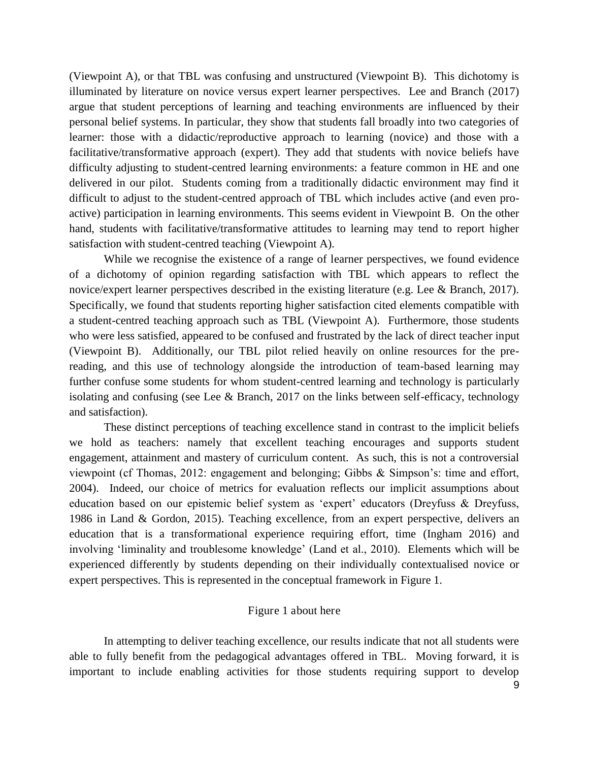(Viewpoint A), or that TBL was confusing and unstructured (Viewpoint B). This dichotomy is illuminated by literature on novice versus expert learner perspectives. Lee and Branch (2017) argue that student perceptions of learning and teaching environments are influenced by their personal belief systems. In particular, they show that students fall broadly into two categories of learner: those with a didactic/reproductive approach to learning (novice) and those with a facilitative/transformative approach (expert). They add that students with novice beliefs have difficulty adjusting to student-centred learning environments: a feature common in HE and one delivered in our pilot. Students coming from a traditionally didactic environment may find it difficult to adjust to the student-centred approach of TBL which includes active (and even proactive) participation in learning environments. This seems evident in Viewpoint B. On the other hand, students with facilitative/transformative attitudes to learning may tend to report higher satisfaction with student-centred teaching (Viewpoint A).

 While we recognise the existence of a range of learner perspectives, we found evidence of a dichotomy of opinion regarding satisfaction with TBL which appears to reflect the novice/expert learner perspectives described in the existing literature (e.g. Lee & Branch, 2017). Specifically, we found that students reporting higher satisfaction cited elements compatible with a student-centred teaching approach such as TBL (Viewpoint A). Furthermore, those students who were less satisfied, appeared to be confused and frustrated by the lack of direct teacher input (Viewpoint B). Additionally, our TBL pilot relied heavily on online resources for the prereading, and this use of technology alongside the introduction of team-based learning may further confuse some students for whom student-centred learning and technology is particularly isolating and confusing (see Lee  $&$  Branch, 2017 on the links between self-efficacy, technology and satisfaction).

 These distinct perceptions of teaching excellence stand in contrast to the implicit beliefs we hold as teachers: namely that excellent teaching encourages and supports student engagement, attainment and mastery of curriculum content. As such, this is not a controversial viewpoint (cf Thomas, 2012: engagement and belonging; Gibbs & Simpson's: time and effort, 2004). Indeed, our choice of metrics for evaluation reflects our implicit assumptions about education based on our epistemic belief system as 'expert' educators (Dreyfuss & Dreyfuss, 1986 in Land & Gordon, 2015). Teaching excellence, from an expert perspective, delivers an education that is a transformational experience requiring effort, time (Ingham 2016) and involving 'liminality and troublesome knowledge' (Land et al., 2010). Elements which will be experienced differently by students depending on their individually contextualised novice or expert perspectives. This is represented in the conceptual framework in Figure 1.

#### Figure 1 about here

 In attempting to deliver teaching excellence, our results indicate that not all students were able to fully benefit from the pedagogical advantages offered in TBL. Moving forward, it is important to include enabling activities for those students requiring support to develop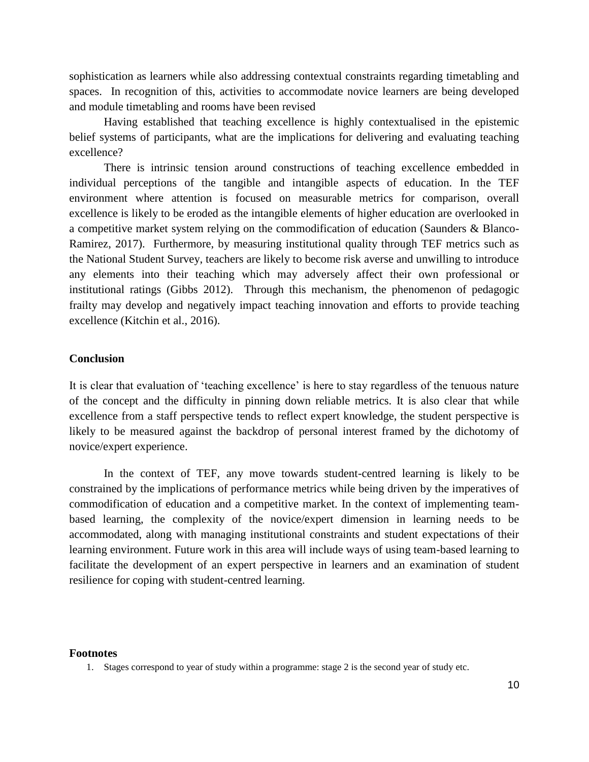sophistication as learners while also addressing contextual constraints regarding timetabling and spaces. In recognition of this, activities to accommodate novice learners are being developed and module timetabling and rooms have been revised

 Having established that teaching excellence is highly contextualised in the epistemic belief systems of participants, what are the implications for delivering and evaluating teaching excellence?

 There is intrinsic tension around constructions of teaching excellence embedded in individual perceptions of the tangible and intangible aspects of education. In the TEF environment where attention is focused on measurable metrics for comparison, overall excellence is likely to be eroded as the intangible elements of higher education are overlooked in a competitive market system relying on the commodification of education (Saunders & Blanco-Ramirez, 2017). Furthermore, by measuring institutional quality through TEF metrics such as the National Student Survey, teachers are likely to become risk averse and unwilling to introduce any elements into their teaching which may adversely affect their own professional or institutional ratings (Gibbs 2012). Through this mechanism, the phenomenon of pedagogic frailty may develop and negatively impact teaching innovation and efforts to provide teaching excellence (Kitchin et al., 2016).

#### **Conclusion**

It is clear that evaluation of 'teaching excellence' is here to stay regardless of the tenuous nature of the concept and the difficulty in pinning down reliable metrics. It is also clear that while excellence from a staff perspective tends to reflect expert knowledge, the student perspective is likely to be measured against the backdrop of personal interest framed by the dichotomy of novice/expert experience.

 In the context of TEF, any move towards student-centred learning is likely to be constrained by the implications of performance metrics while being driven by the imperatives of commodification of education and a competitive market. In the context of implementing teambased learning, the complexity of the novice/expert dimension in learning needs to be accommodated, along with managing institutional constraints and student expectations of their learning environment. Future work in this area will include ways of using team-based learning to facilitate the development of an expert perspective in learners and an examination of student resilience for coping with student-centred learning.

#### **Footnotes**

<sup>1.</sup> Stages correspond to year of study within a programme: stage 2 is the second year of study etc.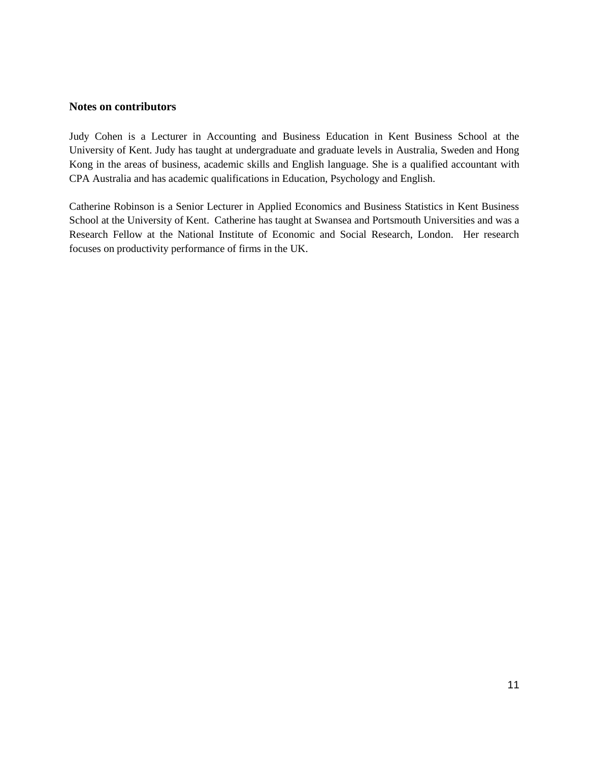#### **Notes on contributors**

Judy Cohen is a Lecturer in Accounting and Business Education in Kent Business School at the University of Kent. Judy has taught at undergraduate and graduate levels in Australia, Sweden and Hong Kong in the areas of business, academic skills and English language. She is a qualified accountant with CPA Australia and has academic qualifications in Education, Psychology and English.

Catherine Robinson is a Senior Lecturer in Applied Economics and Business Statistics in Kent Business School at the University of Kent. Catherine has taught at Swansea and Portsmouth Universities and was a Research Fellow at the National Institute of Economic and Social Research, London. Her research focuses on productivity performance of firms in the UK.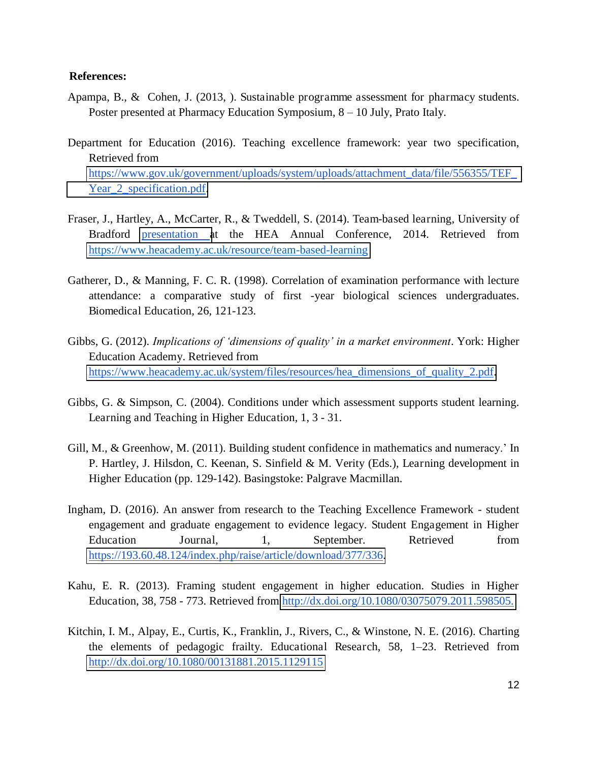#### **References:**

- Apampa, B., & Cohen, J. (2013, ). Sustainable programme assessment for pharmacy students. Poster presented at Pharmacy Education Symposium, 8 – 10 July, Prato Italy.
- Department for Education (2016). Teaching excellence framework: year two specification, Retrieved from [https://www.gov.uk/government/uploads/system/uploads/attachment\\_data/file/556355/TEF\\_](https://www.gov.uk/government/uploads/system/uploads/attachment_data/file/556355/TEF_Year_2_specification.pdf) Year<sub>2</sub>\_specification.pdf.
- Fraser, J., Hartley, A., McCarter, R., & Tweddell, S. (2014). Team-based learning, University of Bradford [presentation a](https://www.heacademy.ac.uk/system/files/resources/4_9.pdf)t the HEA Annual Conference, 2014. Retrieved from <https://www.heacademy.ac.uk/resource/team-based-learning>
- Gatherer, D., & Manning, F. C. R. (1998). Correlation of examination performance with lecture attendance: a comparative study of first -year biological sciences undergraduates. Biomedical Education, 26, 121-123.
- Gibbs, G. (2012). *Implications of 'dimensions of quality' in a market environment*. York: Higher Education Academy. Retrieved from [https://www.heacademy.ac.uk/system/files/resources/hea\\_dimensions\\_of\\_quality\\_2.pdf.](https://www.heacademy.ac.uk/system/files/resources/hea_dimensions_of_quality_2.pdf)
- Gibbs, G. & Simpson, C. (2004). Conditions under which assessment supports student learning. Learning and Teaching in Higher Education, 1, 3 - 31.
- Gill, M., & Greenhow, M. (2011). Building student confidence in mathematics and numeracy.' In P. Hartley, J. Hilsdon, C. Keenan, S. Sinfield & M. Verity (Eds.), Learning development in Higher Education (pp. 129-142). Basingstoke: Palgrave Macmillan.
- Ingham, D. (2016). An answer from research to the Teaching Excellence Framework student engagement and graduate engagement to evidence legacy. Student Engagement in Higher Education Journal, 1, September. Retrieved from [https://193.60.48.124/index.php/raise/article/download/377/336.](https://193.60.48.124/index.php/raise/article/download/377/336)
- Kahu, E. R. (2013). Framing student engagement in higher education. Studies in Higher Education, 38, 758 - 773. Retrieved from [http://dx.doi.org/10.1080/03075079.2011.598505.](http://dx.doi.org/10.1080/03075079.2011.598505)
- Kitchin, I. M., Alpay, E., Curtis, K., Franklin, J., Rivers, C., & Winstone, N. E. (2016). Charting the elements of pedagogic frailty. Educational Research, 58, 1–23. Retrieved from <http://dx.doi.org/10.1080/00131881.2015.1129115>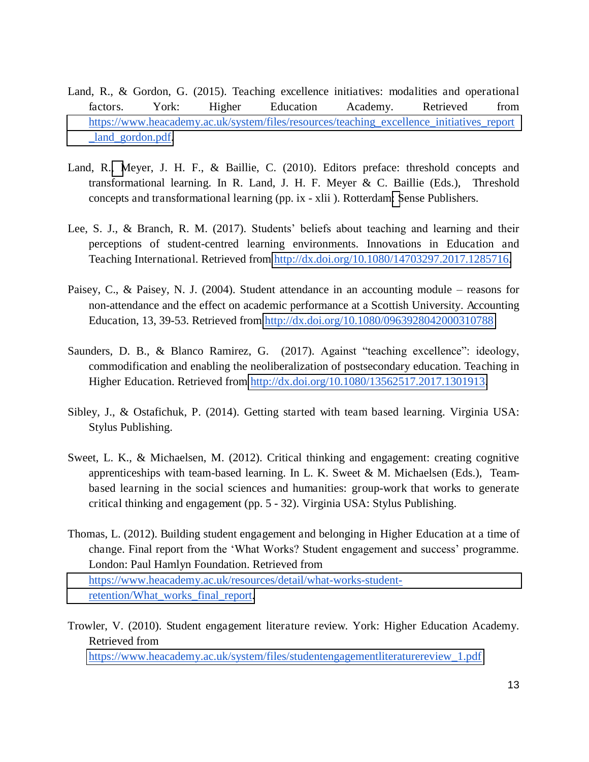- Land, R., & Gordon, G. (2015). Teaching excellence initiatives: modalities and operational factors. York: Higher Education Academy. Retrieved from [https://www.heacademy.ac.uk/system/files/resources/teaching\\_excellence\\_initiatives\\_report](https://www.heacademy.ac.uk/system/files/resources/teaching_excellence_initiatives_report_land_gordon.pdf) land gordon.pdf.
- Land, R.[, M](https://www.ee.ucl.ac.uk/~mflanaga/thresholds_authors.html#emeyer)eyer, J. H. F., & Baillie, C. (2010). Editors preface: threshold concepts and transformational learning. In R. Land, J. H. F. Meyer & C. Baillie (Eds.), Threshold concepts and transformational learning (pp. ix - xlii ). Rotterdam[: S](https://www.sensepublishers.com/)ense Publishers.
- Lee, S. J., & Branch, R. M. (2017). Students' beliefs about teaching and learning and their perceptions of student-centred learning environments. Innovations in Education and Teaching International. Retrieved from [http://dx.doi.org/10.1080/14703297.2017.1285716.](http://dx.doi.org/10.1080/14703297.2017.1285716)
- Paisey, C., & Paisey, N. J. (2004). Student attendance in an accounting module reasons for non-attendance and the effect on academic performance at a Scottish University. Accounting Education, 13, 39-53. Retrieved from<http://dx.doi.org/10.1080/0963928042000310788>
- Saunders, D. B., & Blanco Ramirez, G. (2017). Against "teaching excellence": ideology, commodification and enabling the neoliberalization of postsecondary education. Teaching in Higher Education. Retrieved from [http://dx.doi.org/10.1080/13562517.2017.1301913.](http://dx.doi.org/10.1080/13562517.2017.1301913)
- Sibley, J., & Ostafichuk, P. (2014). Getting started with team based learning. Virginia USA: Stylus Publishing.
- Sweet, L. K., & Michaelsen, M. (2012). Critical thinking and engagement: creating cognitive apprenticeships with team-based learning. In L. K. Sweet & M. Michaelsen (Eds.), Teambased learning in the social sciences and humanities: group-work that works to generate critical thinking and engagement (pp. 5 - 32). Virginia USA: Stylus Publishing.
- Thomas, L. (2012). Building student engagement and belonging in Higher Education at a time of change. Final report from the 'What Works? Student engagement and success' programme. London: Paul Hamlyn Foundation. Retrieved from [https://www.heacademy.ac.uk/resources/detail/what-works-student](https://www.heacademy.ac.uk/resources/detail/what-works-student-retention/What_works_final_report)[retention/What\\_works\\_final\\_report.](https://www.heacademy.ac.uk/resources/detail/what-works-student-retention/What_works_final_report)
- Trowler, V. (2010). Student engagement literature review. York: Higher Education Academy. Retrieved from

[https://www.heacademy.ac.uk/system/files/studentengagementliteraturereview\\_1.pdf](https://www.heacademy.ac.uk/system/files/studentengagementliteraturereview_1.pdf)